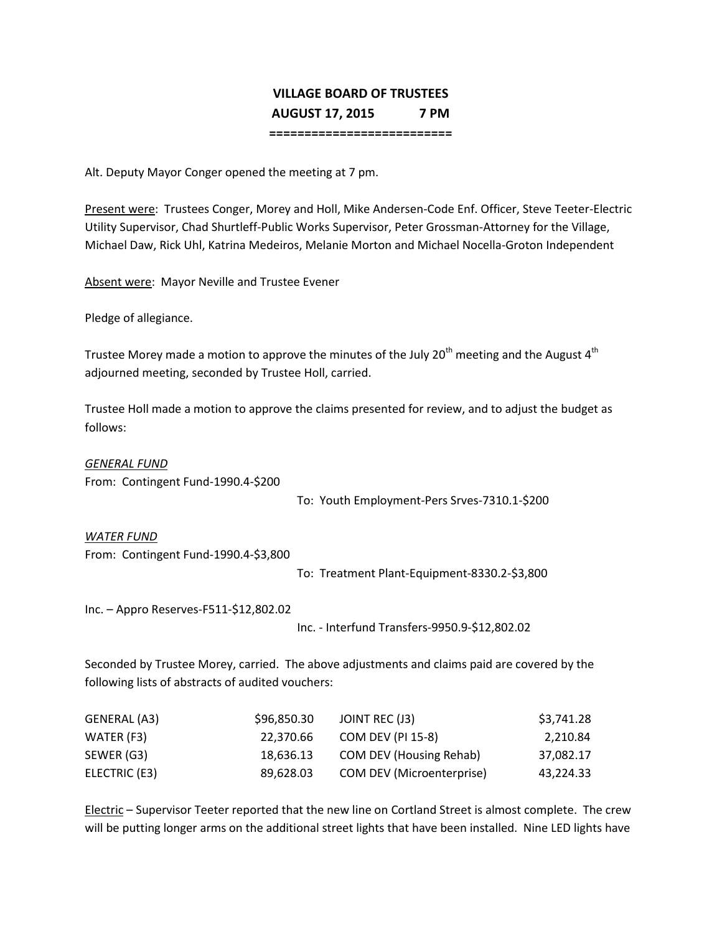## **VILLAGE BOARD OF TRUSTEES AUGUST 17, 2015 7 PM**

**==========================**

Alt. Deputy Mayor Conger opened the meeting at 7 pm.

Present were: Trustees Conger, Morey and Holl, Mike Andersen-Code Enf. Officer, Steve Teeter-Electric Utility Supervisor, Chad Shurtleff-Public Works Supervisor, Peter Grossman-Attorney for the Village, Michael Daw, Rick Uhl, Katrina Medeiros, Melanie Morton and Michael Nocella-Groton Independent

Absent were: Mayor Neville and Trustee Evener

Pledge of allegiance.

Trustee Morey made a motion to approve the minutes of the July 20<sup>th</sup> meeting and the August 4<sup>th</sup> adjourned meeting, seconded by Trustee Holl, carried.

Trustee Holl made a motion to approve the claims presented for review, and to adjust the budget as follows:

*GENERAL FUND* From: Contingent Fund-1990.4-\$200

To: Youth Employment-Pers Srves-7310.1-\$200

*WATER FUND*

From: Contingent Fund-1990.4-\$3,800

To: Treatment Plant-Equipment-8330.2-\$3,800

Inc. – Appro Reserves-F511-\$12,802.02

Inc. - Interfund Transfers-9950.9-\$12,802.02

Seconded by Trustee Morey, carried. The above adjustments and claims paid are covered by the following lists of abstracts of audited vouchers:

| GENERAL (A3)  | \$96,850.30 | JOINT REC (J3)                   | \$3,741.28 |
|---------------|-------------|----------------------------------|------------|
| WATER (F3)    | 22.370.66   | <b>COM DEV (PI 15-8)</b>         | 2,210.84   |
| SEWER (G3)    | 18,636.13   | <b>COM DEV (Housing Rehab)</b>   | 37,082.17  |
| ELECTRIC (E3) | 89,628.03   | <b>COM DEV (Microenterprise)</b> | 43,224.33  |

Electric – Supervisor Teeter reported that the new line on Cortland Street is almost complete. The crew will be putting longer arms on the additional street lights that have been installed. Nine LED lights have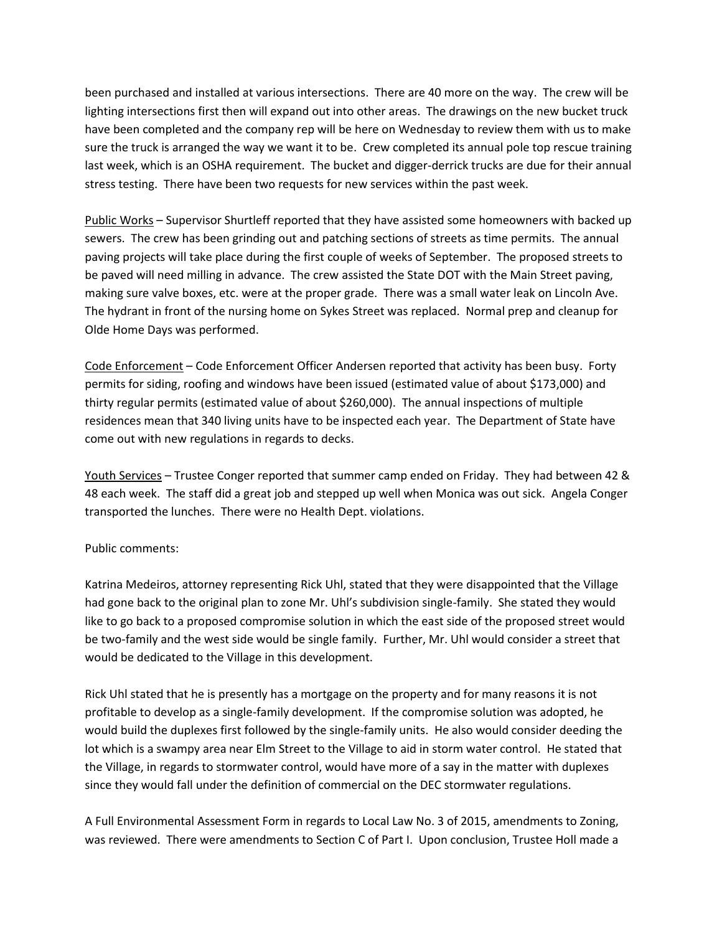been purchased and installed at various intersections. There are 40 more on the way. The crew will be lighting intersections first then will expand out into other areas. The drawings on the new bucket truck have been completed and the company rep will be here on Wednesday to review them with us to make sure the truck is arranged the way we want it to be. Crew completed its annual pole top rescue training last week, which is an OSHA requirement. The bucket and digger-derrick trucks are due for their annual stress testing. There have been two requests for new services within the past week.

Public Works – Supervisor Shurtleff reported that they have assisted some homeowners with backed up sewers. The crew has been grinding out and patching sections of streets as time permits. The annual paving projects will take place during the first couple of weeks of September. The proposed streets to be paved will need milling in advance. The crew assisted the State DOT with the Main Street paving, making sure valve boxes, etc. were at the proper grade. There was a small water leak on Lincoln Ave. The hydrant in front of the nursing home on Sykes Street was replaced. Normal prep and cleanup for Olde Home Days was performed.

Code Enforcement – Code Enforcement Officer Andersen reported that activity has been busy. Forty permits for siding, roofing and windows have been issued (estimated value of about \$173,000) and thirty regular permits (estimated value of about \$260,000). The annual inspections of multiple residences mean that 340 living units have to be inspected each year. The Department of State have come out with new regulations in regards to decks.

Youth Services – Trustee Conger reported that summer camp ended on Friday. They had between 42 & 48 each week. The staff did a great job and stepped up well when Monica was out sick. Angela Conger transported the lunches. There were no Health Dept. violations.

## Public comments:

Katrina Medeiros, attorney representing Rick Uhl, stated that they were disappointed that the Village had gone back to the original plan to zone Mr. Uhl's subdivision single-family. She stated they would like to go back to a proposed compromise solution in which the east side of the proposed street would be two-family and the west side would be single family. Further, Mr. Uhl would consider a street that would be dedicated to the Village in this development.

Rick Uhl stated that he is presently has a mortgage on the property and for many reasons it is not profitable to develop as a single-family development. If the compromise solution was adopted, he would build the duplexes first followed by the single-family units. He also would consider deeding the lot which is a swampy area near Elm Street to the Village to aid in storm water control. He stated that the Village, in regards to stormwater control, would have more of a say in the matter with duplexes since they would fall under the definition of commercial on the DEC stormwater regulations.

A Full Environmental Assessment Form in regards to Local Law No. 3 of 2015, amendments to Zoning, was reviewed. There were amendments to Section C of Part I. Upon conclusion, Trustee Holl made a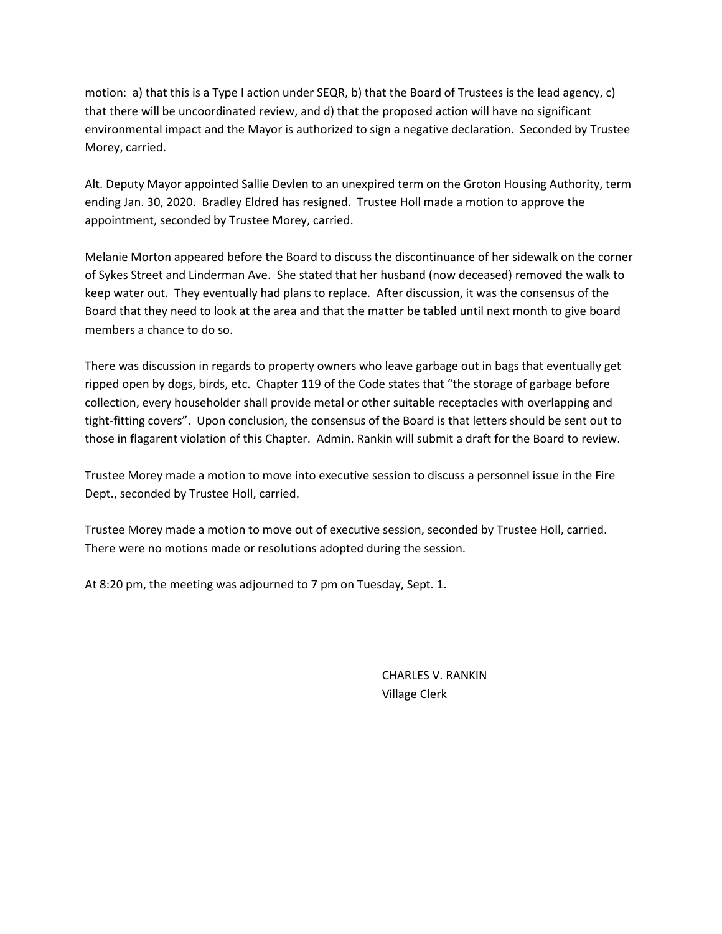motion: a) that this is a Type I action under SEQR, b) that the Board of Trustees is the lead agency, c) that there will be uncoordinated review, and d) that the proposed action will have no significant environmental impact and the Mayor is authorized to sign a negative declaration. Seconded by Trustee Morey, carried.

Alt. Deputy Mayor appointed Sallie Devlen to an unexpired term on the Groton Housing Authority, term ending Jan. 30, 2020. Bradley Eldred has resigned. Trustee Holl made a motion to approve the appointment, seconded by Trustee Morey, carried.

Melanie Morton appeared before the Board to discuss the discontinuance of her sidewalk on the corner of Sykes Street and Linderman Ave. She stated that her husband (now deceased) removed the walk to keep water out. They eventually had plans to replace. After discussion, it was the consensus of the Board that they need to look at the area and that the matter be tabled until next month to give board members a chance to do so.

There was discussion in regards to property owners who leave garbage out in bags that eventually get ripped open by dogs, birds, etc. Chapter 119 of the Code states that "the storage of garbage before collection, every householder shall provide metal or other suitable receptacles with overlapping and tight-fitting covers". Upon conclusion, the consensus of the Board is that letters should be sent out to those in flagarent violation of this Chapter. Admin. Rankin will submit a draft for the Board to review.

Trustee Morey made a motion to move into executive session to discuss a personnel issue in the Fire Dept., seconded by Trustee Holl, carried.

Trustee Morey made a motion to move out of executive session, seconded by Trustee Holl, carried. There were no motions made or resolutions adopted during the session.

At 8:20 pm, the meeting was adjourned to 7 pm on Tuesday, Sept. 1.

CHARLES V. RANKIN Village Clerk